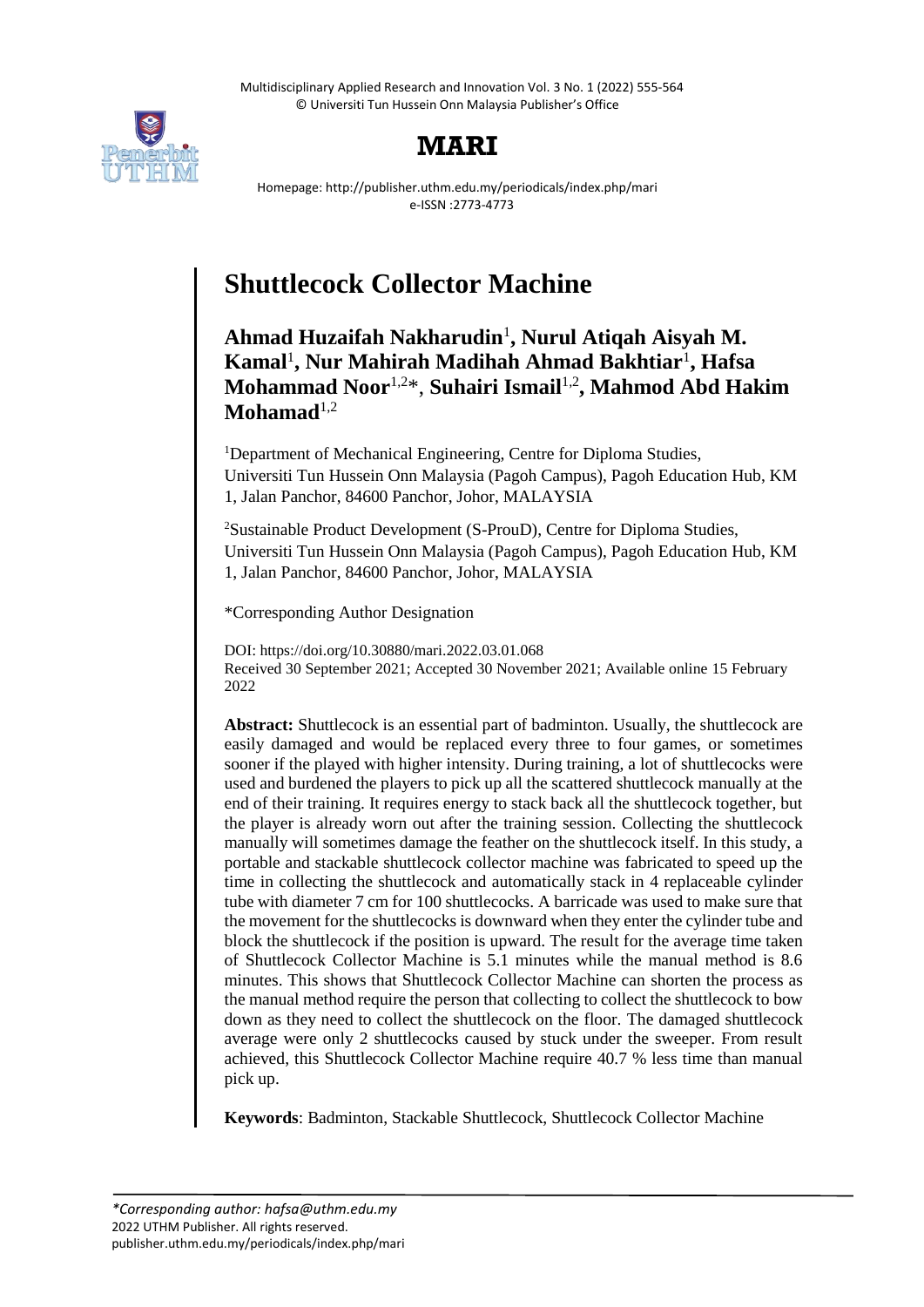Multidisciplinary Applied Research and Innovation Vol. 3 No. 1 (2022) 555-564 © Universiti Tun Hussein Onn Malaysia Publisher's Office



## **MARI**

Homepage: http://publisher.uthm.edu.my/periodicals/index.php/mari e-ISSN :2773-4773

# **Shuttlecock Collector Machine**

### **Ahmad Huzaifah Nakharudin**<sup>1</sup> **, Nurul Atiqah Aisyah M. Kamal**<sup>1</sup> **, Nur Mahirah Madihah Ahmad Bakhtiar**<sup>1</sup> **, Hafsa Mohammad Noor**1,2\*, **Suhairi Ismail**1,2 **, Mahmod Abd Hakim Mohamad**<sup> $1,2$ </sup>

<sup>1</sup>Department of Mechanical Engineering, Centre for Diploma Studies, Universiti Tun Hussein Onn Malaysia (Pagoh Campus), Pagoh Education Hub, KM 1, Jalan Panchor, 84600 Panchor, Johor, MALAYSIA

<sup>2</sup>Sustainable Product Development (S-ProuD), Centre for Diploma Studies, Universiti Tun Hussein Onn Malaysia (Pagoh Campus), Pagoh Education Hub, KM 1, Jalan Panchor, 84600 Panchor, Johor, MALAYSIA

\*Corresponding Author Designation

DOI: https://doi.org/10.30880/mari.2022.03.01.068 Received 30 September 2021; Accepted 30 November 2021; Available online 15 February 2022

**Abstract:** Shuttlecock is an essential part of badminton. Usually, the shuttlecock are easily damaged and would be replaced every three to four games, or sometimes sooner if the played with higher intensity. During training, a lot of shuttlecocks were used and burdened the players to pick up all the scattered shuttlecock manually at the end of their training. It requires energy to stack back all the shuttlecock together, but the player is already worn out after the training session. Collecting the shuttlecock manually will sometimes damage the feather on the shuttlecock itself. In this study, a portable and stackable shuttlecock collector machine was fabricated to speed up the time in collecting the shuttlecock and automatically stack in 4 replaceable cylinder tube with diameter 7 cm for 100 shuttlecocks. A barricade was used to make sure that the movement for the shuttlecocks is downward when they enter the cylinder tube and block the shuttlecock if the position is upward. The result for the average time taken of Shuttlecock Collector Machine is 5.1 minutes while the manual method is 8.6 minutes. This shows that Shuttlecock Collector Machine can shorten the process as the manual method require the person that collecting to collect the shuttlecock to bow down as they need to collect the shuttlecock on the floor. The damaged shuttlecock average were only 2 shuttlecocks caused by stuck under the sweeper. From result achieved, this Shuttlecock Collector Machine require 40.7 % less time than manual pick up.

**Keywords**: Badminton, Stackable Shuttlecock, Shuttlecock Collector Machine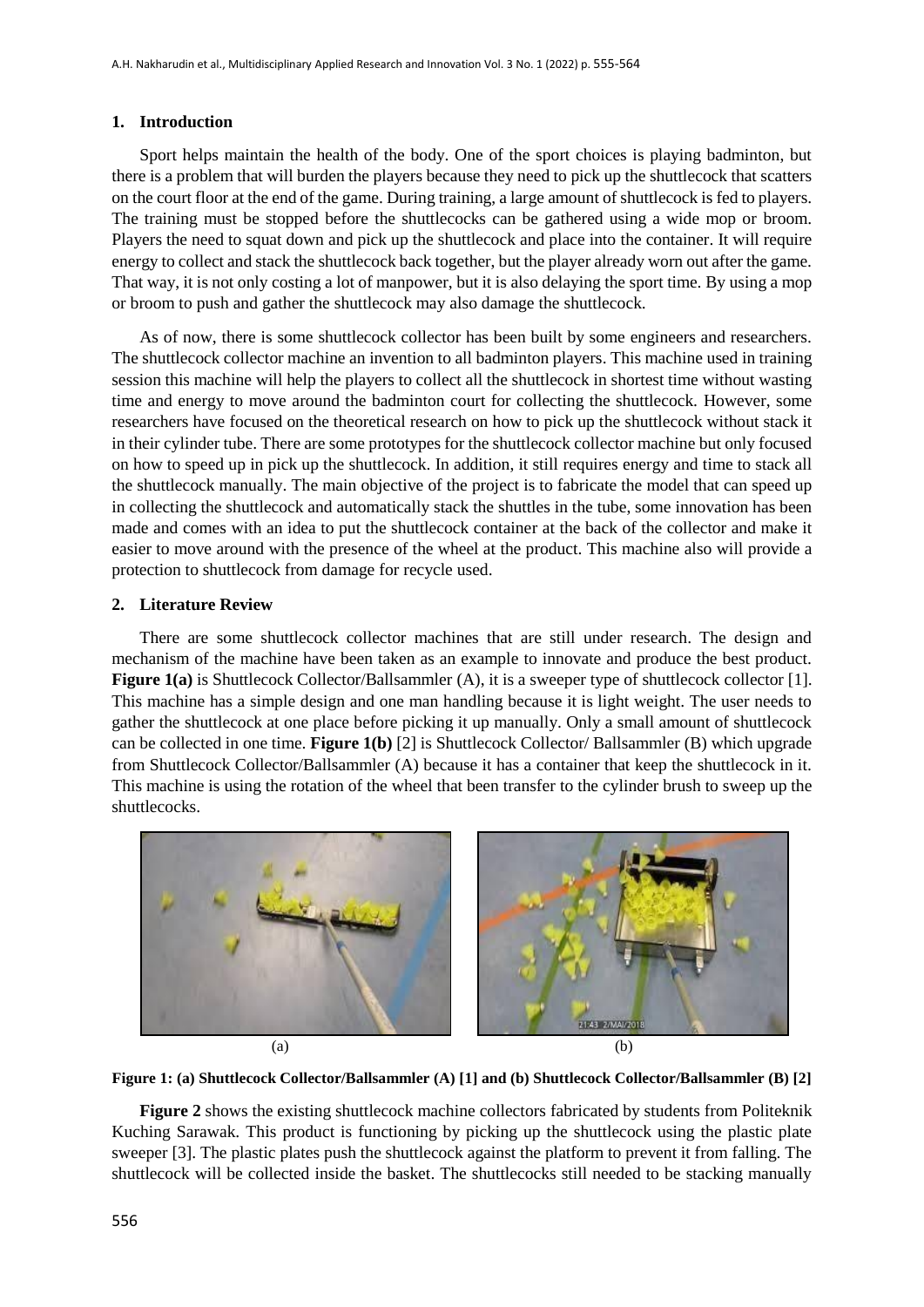#### **1. Introduction**

Sport helps maintain the health of the body. One of the sport choices is playing badminton, but there is a problem that will burden the players because they need to pick up the shuttlecock that scatters on the court floor at the end of the game. During training, a large amount of shuttlecock is fed to players. The training must be stopped before the shuttlecocks can be gathered using a wide mop or broom. Players the need to squat down and pick up the shuttlecock and place into the container. It will require energy to collect and stack the shuttlecock back together, but the player already worn out after the game. That way, it is not only costing a lot of manpower, but it is also delaying the sport time. By using a mop or broom to push and gather the shuttlecock may also damage the shuttlecock.

As of now, there is some shuttlecock collector has been built by some engineers and researchers. The shuttlecock collector machine an invention to all badminton players. This machine used in training session this machine will help the players to collect all the shuttlecock in shortest time without wasting time and energy to move around the badminton court for collecting the shuttlecock. However, some researchers have focused on the theoretical research on how to pick up the shuttlecock without stack it in their cylinder tube. There are some prototypes for the shuttlecock collector machine but only focused on how to speed up in pick up the shuttlecock. In addition, it still requires energy and time to stack all the shuttlecock manually. The main objective of the project is to fabricate the model that can speed up in collecting the shuttlecock and automatically stack the shuttles in the tube, some innovation has been made and comes with an idea to put the shuttlecock container at the back of the collector and make it easier to move around with the presence of the wheel at the product. This machine also will provide a protection to shuttlecock from damage for recycle used.

#### **2. Literature Review**

There are some shuttlecock collector machines that are still under research. The design and mechanism of the machine have been taken as an example to innovate and produce the best product. **Figure 1(a)** is Shuttlecock Collector/Ballsammler (A), it is a sweeper type of shuttlecock collector [1]. This machine has a simple design and one man handling because it is light weight. The user needs to gather the shuttlecock at one place before picking it up manually. Only a small amount of shuttlecock can be collected in one time. **Figure 1(b)** [2] is Shuttlecock Collector/ Ballsammler (B) which upgrade from Shuttlecock Collector/Ballsammler (A) because it has a container that keep the shuttlecock in it. This machine is using the rotation of the wheel that been transfer to the cylinder brush to sweep up the shuttlecocks.



**Figure 1: (a) Shuttlecock Collector/Ballsammler (A) [1] and (b) Shuttlecock Collector/Ballsammler (B) [2]** 

**Figure 2** shows the existing shuttlecock machine collectors fabricated by students from Politeknik Kuching Sarawak. This product is functioning by picking up the shuttlecock using the plastic plate sweeper [3]. The plastic plates push the shuttlecock against the platform to prevent it from falling. The shuttlecock will be collected inside the basket. The shuttlecocks still needed to be stacking manually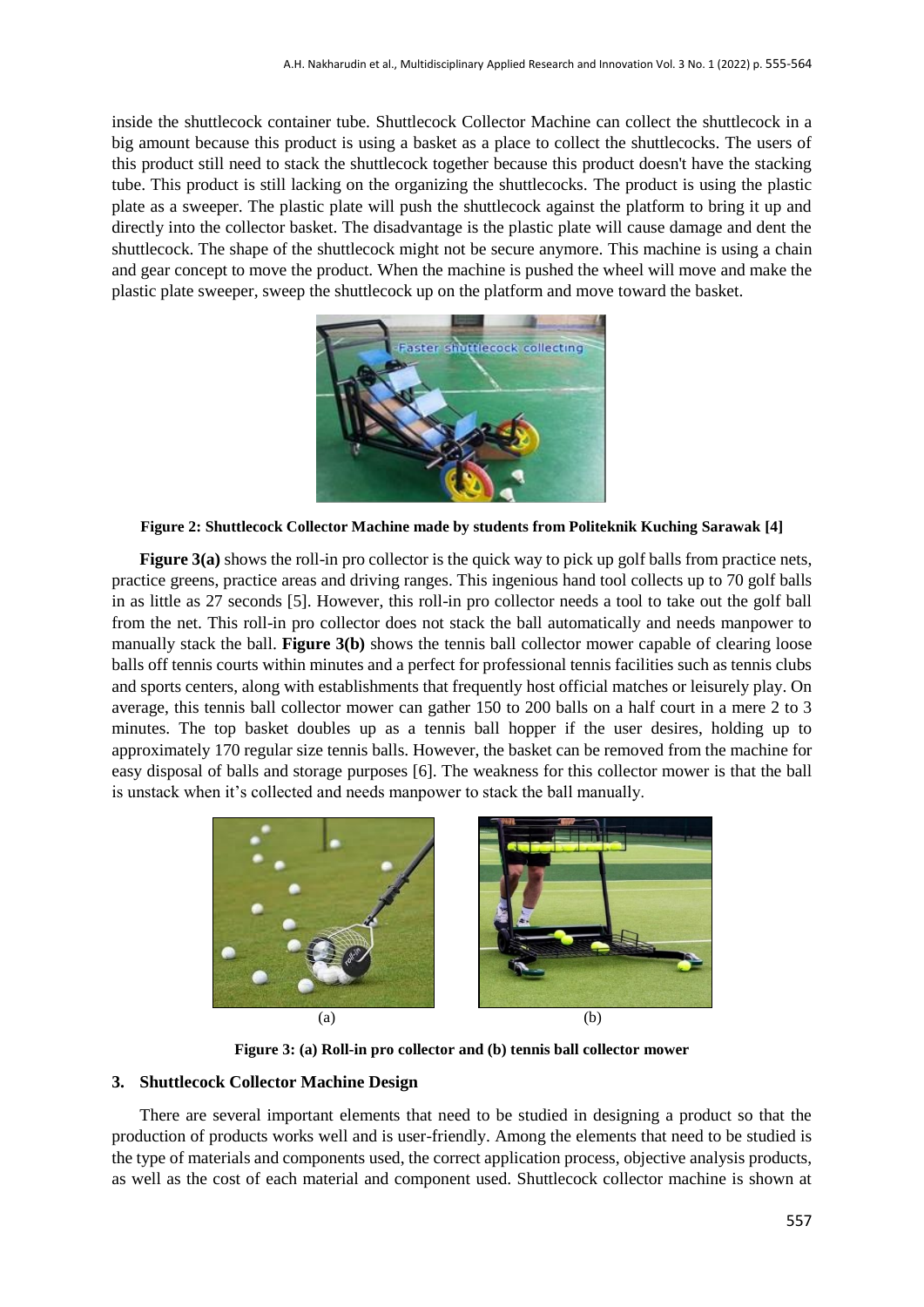inside the shuttlecock container tube. Shuttlecock Collector Machine can collect the shuttlecock in a big amount because this product is using a basket as a place to collect the shuttlecocks. The users of this product still need to stack the shuttlecock together because this product doesn't have the stacking tube. This product is still lacking on the organizing the shuttlecocks. The product is using the plastic plate as a sweeper. The plastic plate will push the shuttlecock against the platform to bring it up and directly into the collector basket. The disadvantage is the plastic plate will cause damage and dent the shuttlecock. The shape of the shuttlecock might not be secure anymore. This machine is using a chain and gear concept to move the product. When the machine is pushed the wheel will move and make the plastic plate sweeper, sweep the shuttlecock up on the platform and move toward the basket.



**Figure 2: Shuttlecock Collector Machine made by students from Politeknik Kuching Sarawak [4]**

**Figure 3(a)** shows the roll-in pro collector is the quick way to pick up golf balls from practice nets, practice greens, practice areas and driving ranges. This ingenious hand tool collects up to 70 golf balls in as little as 27 seconds [5]. However, this roll-in pro collector needs a tool to take out the golf ball from the net. This roll-in pro collector does not stack the ball automatically and needs manpower to manually stack the ball. **Figure 3(b)** shows the tennis ball collector mower capable of clearing loose balls off tennis courts within minutes and a perfect for professional tennis facilities such as tennis clubs and sports centers, along with establishments that frequently host official matches or leisurely play. On average, this tennis ball collector mower can gather 150 to 200 balls on a half court in a mere 2 to 3 minutes. The top basket doubles up as a tennis ball hopper if the user desires, holding up to approximately 170 regular size tennis balls. However, the basket can be removed from the machine for easy disposal of balls and storage purposes [6]. The weakness for this collector mower is that the ball is unstack when it's collected and needs manpower to stack the ball manually.



**Figure 3: (a) Roll-in pro collector and (b) tennis ball collector mower**

#### **3. Shuttlecock Collector Machine Design**

There are several important elements that need to be studied in designing a product so that the production of products works well and is user-friendly. Among the elements that need to be studied is the type of materials and components used, the correct application process, objective analysis products, as well as the cost of each material and component used. Shuttlecock collector machine is shown at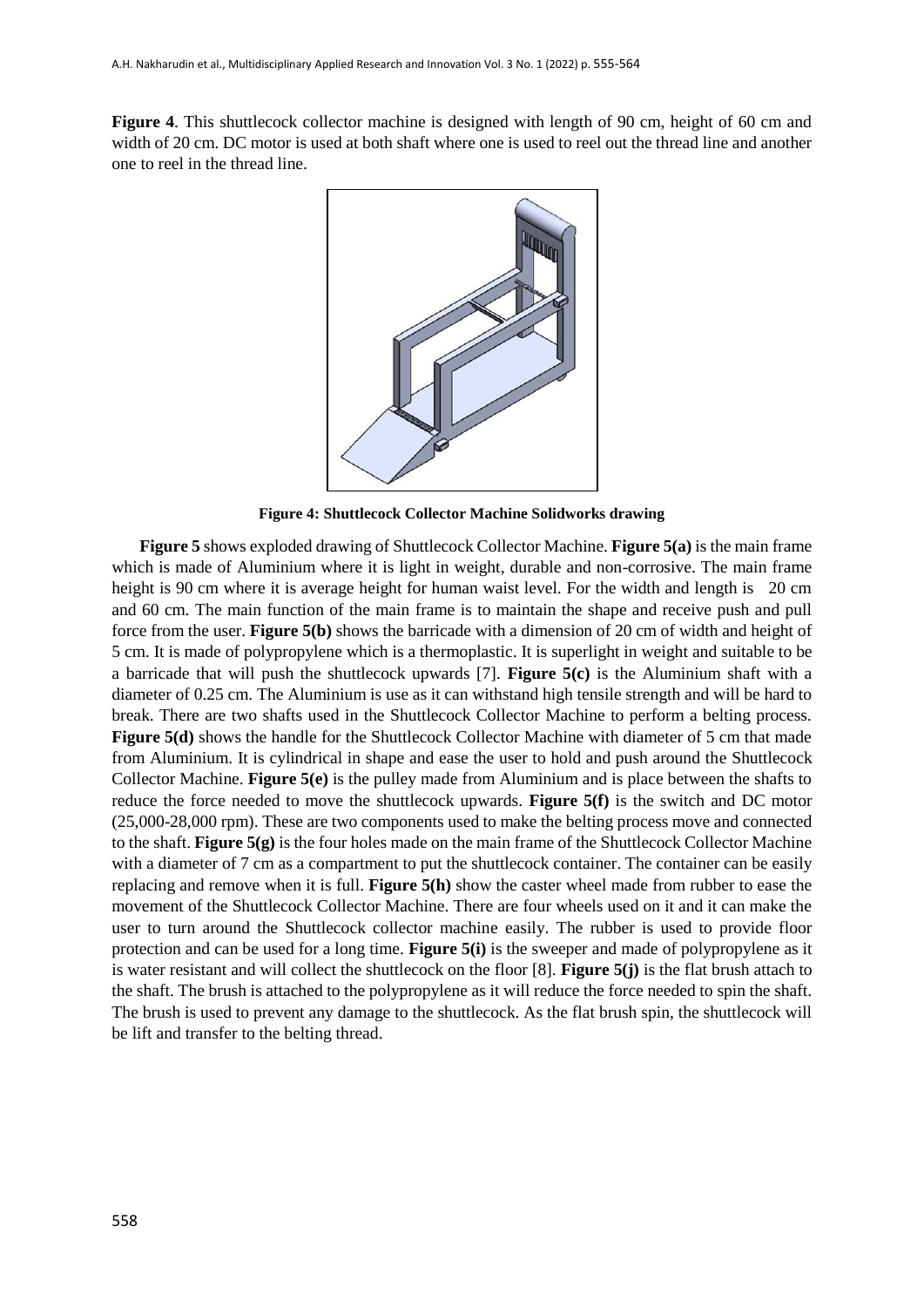Figure 4. This shuttlecock collector machine is designed with length of 90 cm, height of 60 cm and width of 20 cm. DC motor is used at both shaft where one is used to reel out the thread line and another one to reel in the thread line.



**Figure 4: Shuttlecock Collector Machine Solidworks drawing**

**Figure 5** shows exploded drawing of Shuttlecock Collector Machine. **Figure 5(a)** is the main frame which is made of Aluminium where it is light in weight, durable and non-corrosive. The main frame height is 90 cm where it is average height for human waist level. For the width and length is 20 cm and 60 cm. The main function of the main frame is to maintain the shape and receive push and pull force from the user. **Figure 5(b)** shows the barricade with a dimension of 20 cm of width and height of 5 cm. It is made of polypropylene which is a thermoplastic. It is superlight in weight and suitable to be a barricade that will push the shuttlecock upwards [7]. **Figure 5(c)** is the Aluminium shaft with a diameter of 0.25 cm. The Aluminium is use as it can withstand high tensile strength and will be hard to break. There are two shafts used in the Shuttlecock Collector Machine to perform a belting process. **Figure 5(d)** shows the handle for the Shuttlecock Collector Machine with diameter of 5 cm that made from Aluminium. It is cylindrical in shape and ease the user to hold and push around the Shuttlecock Collector Machine. **Figure 5(e)** is the pulley made from Aluminium and is place between the shafts to reduce the force needed to move the shuttlecock upwards. **Figure 5(f)** is the switch and DC motor (25,000-28,000 rpm). These are two components used to make the belting process move and connected to the shaft. **Figure 5(g)** is the four holes made on the main frame of the Shuttlecock Collector Machine with a diameter of 7 cm as a compartment to put the shuttlecock container. The container can be easily replacing and remove when it is full. **Figure 5(h)** show the caster wheel made from rubber to ease the movement of the Shuttlecock Collector Machine. There are four wheels used on it and it can make the user to turn around the Shuttlecock collector machine easily. The rubber is used to provide floor protection and can be used for a long time. **Figure 5(i)** is the sweeper and made of polypropylene as it is water resistant and will collect the shuttlecock on the floor [8]. **Figure 5(j)** is the flat brush attach to the shaft. The brush is attached to the polypropylene as it will reduce the force needed to spin the shaft. The brush is used to prevent any damage to the shuttlecock. As the flat brush spin, the shuttlecock will be lift and transfer to the belting thread.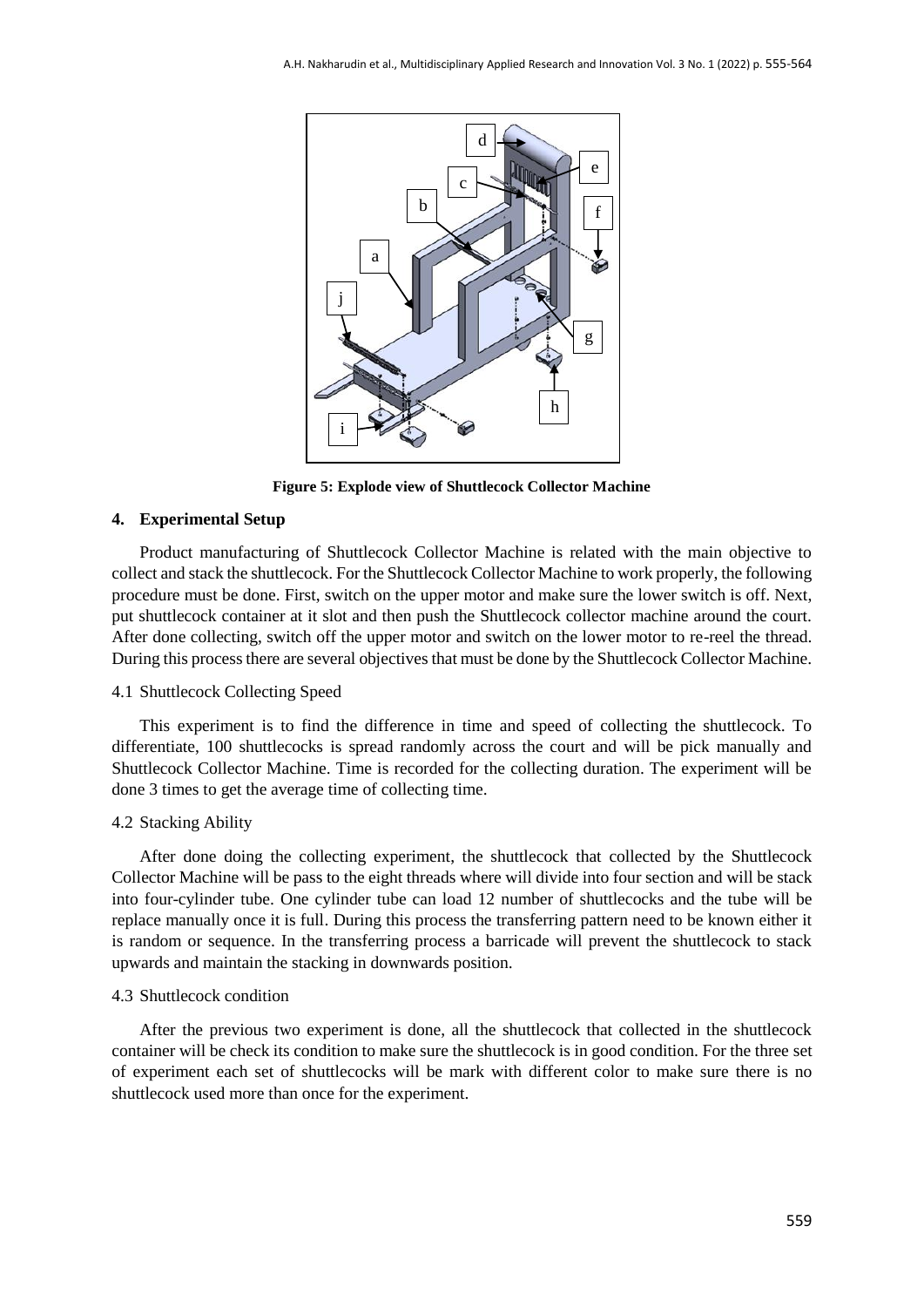

**Figure 5: Explode view of Shuttlecock Collector Machine**

#### **4. Experimental Setup**

Product manufacturing of Shuttlecock Collector Machine is related with the main objective to collect and stack the shuttlecock. For the Shuttlecock Collector Machine to work properly, the following procedure must be done. First, switch on the upper motor and make sure the lower switch is off. Next, put shuttlecock container at it slot and then push the Shuttlecock collector machine around the court. After done collecting, switch off the upper motor and switch on the lower motor to re-reel the thread. During this process there are several objectives that must be done by the Shuttlecock Collector Machine.

#### 4.1 Shuttlecock Collecting Speed

This experiment is to find the difference in time and speed of collecting the shuttlecock. To differentiate, 100 shuttlecocks is spread randomly across the court and will be pick manually and Shuttlecock Collector Machine. Time is recorded for the collecting duration. The experiment will be done 3 times to get the average time of collecting time.

#### 4.2 Stacking Ability

After done doing the collecting experiment, the shuttlecock that collected by the Shuttlecock Collector Machine will be pass to the eight threads where will divide into four section and will be stack into four-cylinder tube. One cylinder tube can load 12 number of shuttlecocks and the tube will be replace manually once it is full. During this process the transferring pattern need to be known either it is random or sequence. In the transferring process a barricade will prevent the shuttlecock to stack upwards and maintain the stacking in downwards position.

#### 4.3 Shuttlecock condition

After the previous two experiment is done, all the shuttlecock that collected in the shuttlecock container will be check its condition to make sure the shuttlecock is in good condition. For the three set of experiment each set of shuttlecocks will be mark with different color to make sure there is no shuttlecock used more than once for the experiment.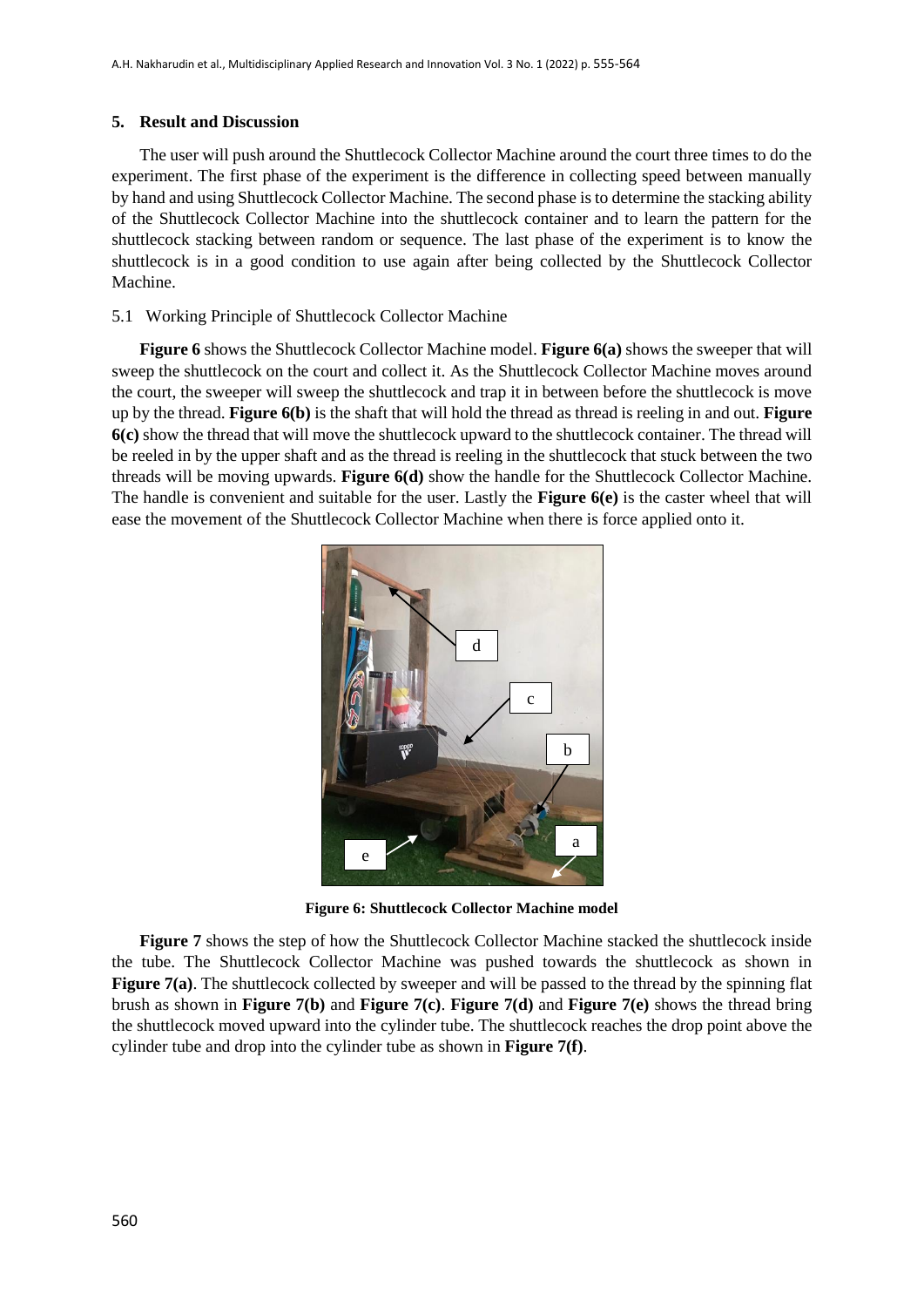#### **5. Result and Discussion**

The user will push around the Shuttlecock Collector Machine around the court three times to do the experiment. The first phase of the experiment is the difference in collecting speed between manually by hand and using Shuttlecock Collector Machine. The second phase is to determine the stacking ability of the Shuttlecock Collector Machine into the shuttlecock container and to learn the pattern for the shuttlecock stacking between random or sequence. The last phase of the experiment is to know the shuttlecock is in a good condition to use again after being collected by the Shuttlecock Collector Machine.

#### 5.1 Working Principle of Shuttlecock Collector Machine

**Figure 6** shows the Shuttlecock Collector Machine model. **Figure 6(a)** shows the sweeper that will sweep the shuttlecock on the court and collect it. As the Shuttlecock Collector Machine moves around the court, the sweeper will sweep the shuttlecock and trap it in between before the shuttlecock is move up by the thread. **Figure 6(b)** is the shaft that will hold the thread as thread is reeling in and out. **Figure 6(c)** show the thread that will move the shuttlecock upward to the shuttlecock container. The thread will be reeled in by the upper shaft and as the thread is reeling in the shuttlecock that stuck between the two threads will be moving upwards. **Figure 6(d)** show the handle for the Shuttlecock Collector Machine. The handle is convenient and suitable for the user. Lastly the **Figure 6(e)** is the caster wheel that will ease the movement of the Shuttlecock Collector Machine when there is force applied onto it.



**Figure 6: Shuttlecock Collector Machine model**

**Figure 7** shows the step of how the Shuttlecock Collector Machine stacked the shuttlecock inside the tube. The Shuttlecock Collector Machine was pushed towards the shuttlecock as shown in **Figure 7(a)**. The shuttlecock collected by sweeper and will be passed to the thread by the spinning flat brush as shown in **Figure 7(b)** and **Figure 7(c)**. **Figure 7(d)** and **Figure 7(e)** shows the thread bring the shuttlecock moved upward into the cylinder tube. The shuttlecock reaches the drop point above the cylinder tube and drop into the cylinder tube as shown in **Figure 7(f)**.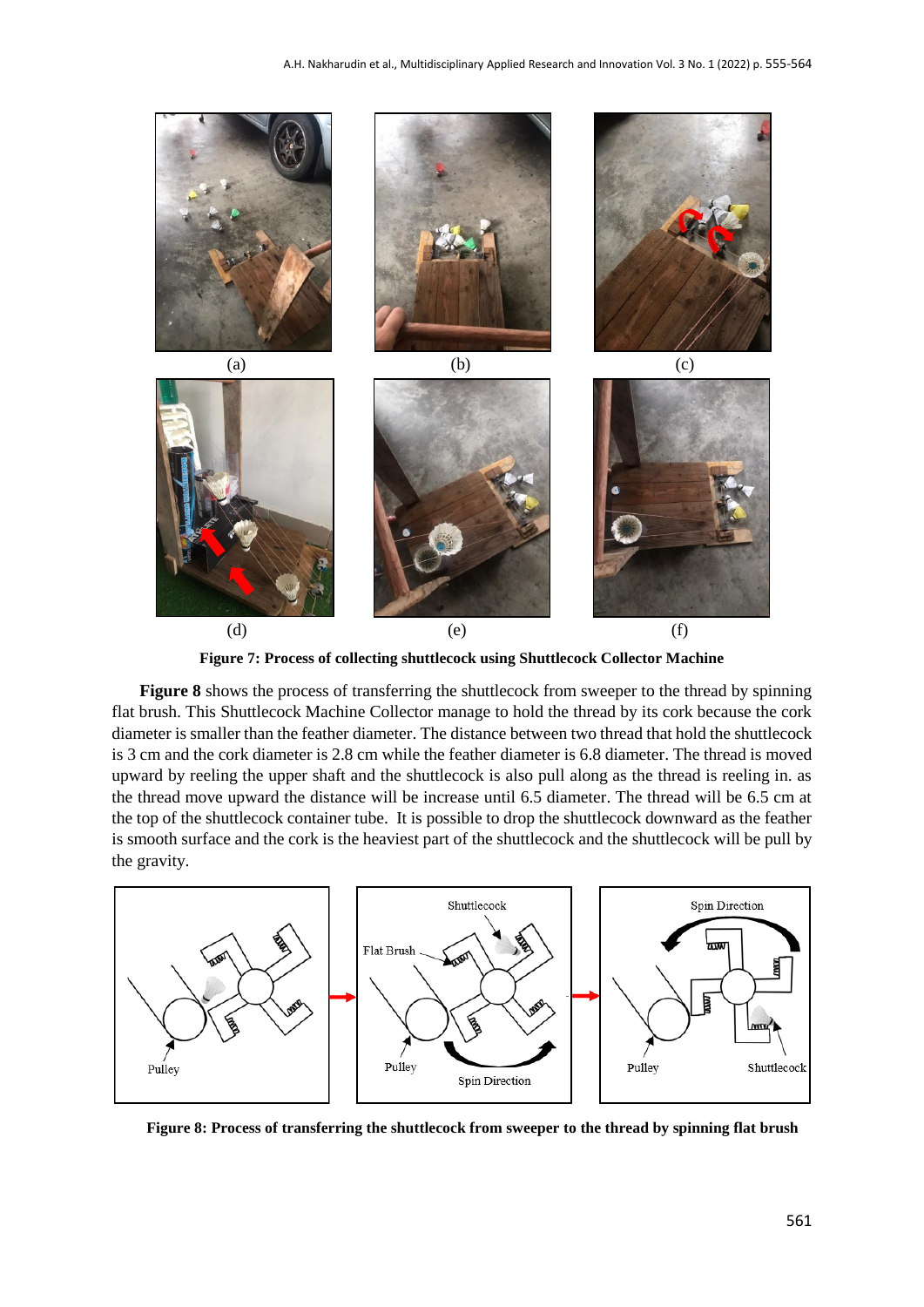

**Figure 7: Process of collecting shuttlecock using Shuttlecock Collector Machine**

**Figure 8** shows the process of transferring the shuttlecock from sweeper to the thread by spinning flat brush. This Shuttlecock Machine Collector manage to hold the thread by its cork because the cork diameter is smaller than the feather diameter. The distance between two thread that hold the shuttlecock is 3 cm and the cork diameter is 2.8 cm while the feather diameter is 6.8 diameter. The thread is moved upward by reeling the upper shaft and the shuttlecock is also pull along as the thread is reeling in. as the thread move upward the distance will be increase until 6.5 diameter. The thread will be 6.5 cm at the top of the shuttlecock container tube. It is possible to drop the shuttlecock downward as the feather is smooth surface and the cork is the heaviest part of the shuttlecock and the shuttlecock will be pull by the gravity.



**Figure 8: Process of transferring the shuttlecock from sweeper to the thread by spinning flat brush**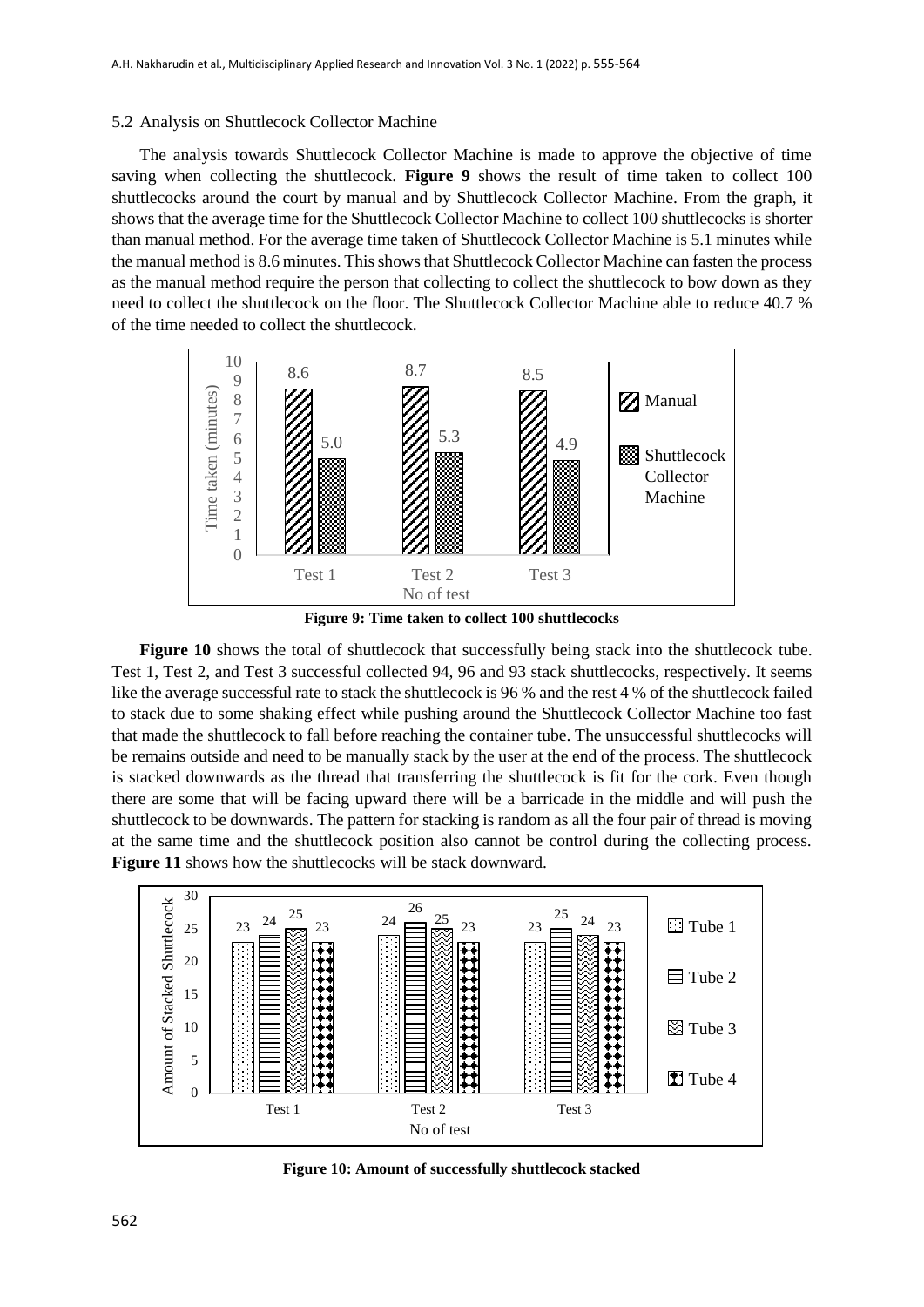#### 5.2 Analysis on Shuttlecock Collector Machine

The analysis towards Shuttlecock Collector Machine is made to approve the objective of time saving when collecting the shuttlecock. **Figure 9** shows the result of time taken to collect 100 shuttlecocks around the court by manual and by Shuttlecock Collector Machine. From the graph, it shows that the average time for the Shuttlecock Collector Machine to collect 100 shuttlecocks is shorter than manual method. For the average time taken of Shuttlecock Collector Machine is 5.1 minutes while the manual method is 8.6 minutes. This shows that Shuttlecock Collector Machine can fasten the process as the manual method require the person that collecting to collect the shuttlecock to bow down as they need to collect the shuttlecock on the floor. The Shuttlecock Collector Machine able to reduce 40.7 % of the time needed to collect the shuttlecock.



**Figure 9: Time taken to collect 100 shuttlecocks**

**Figure 10** shows the total of shuttlecock that successfully being stack into the shuttlecock tube. Test 1, Test 2, and Test 3 successful collected 94, 96 and 93 stack shuttlecocks, respectively. It seems like the average successful rate to stack the shuttlecock is 96 % and the rest 4 % of the shuttlecock failed to stack due to some shaking effect while pushing around the Shuttlecock Collector Machine too fast that made the shuttlecock to fall before reaching the container tube. The unsuccessful shuttlecocks will be remains outside and need to be manually stack by the user at the end of the process. The shuttlecock is stacked downwards as the thread that transferring the shuttlecock is fit for the cork. Even though there are some that will be facing upward there will be a barricade in the middle and will push the shuttlecock to be downwards. The pattern for stacking is random as all the four pair of thread is moving at the same time and the shuttlecock position also cannot be control during the collecting process. **Figure 11** shows how the shuttlecocks will be stack downward.



**Figure 10: Amount of successfully shuttlecock stacked**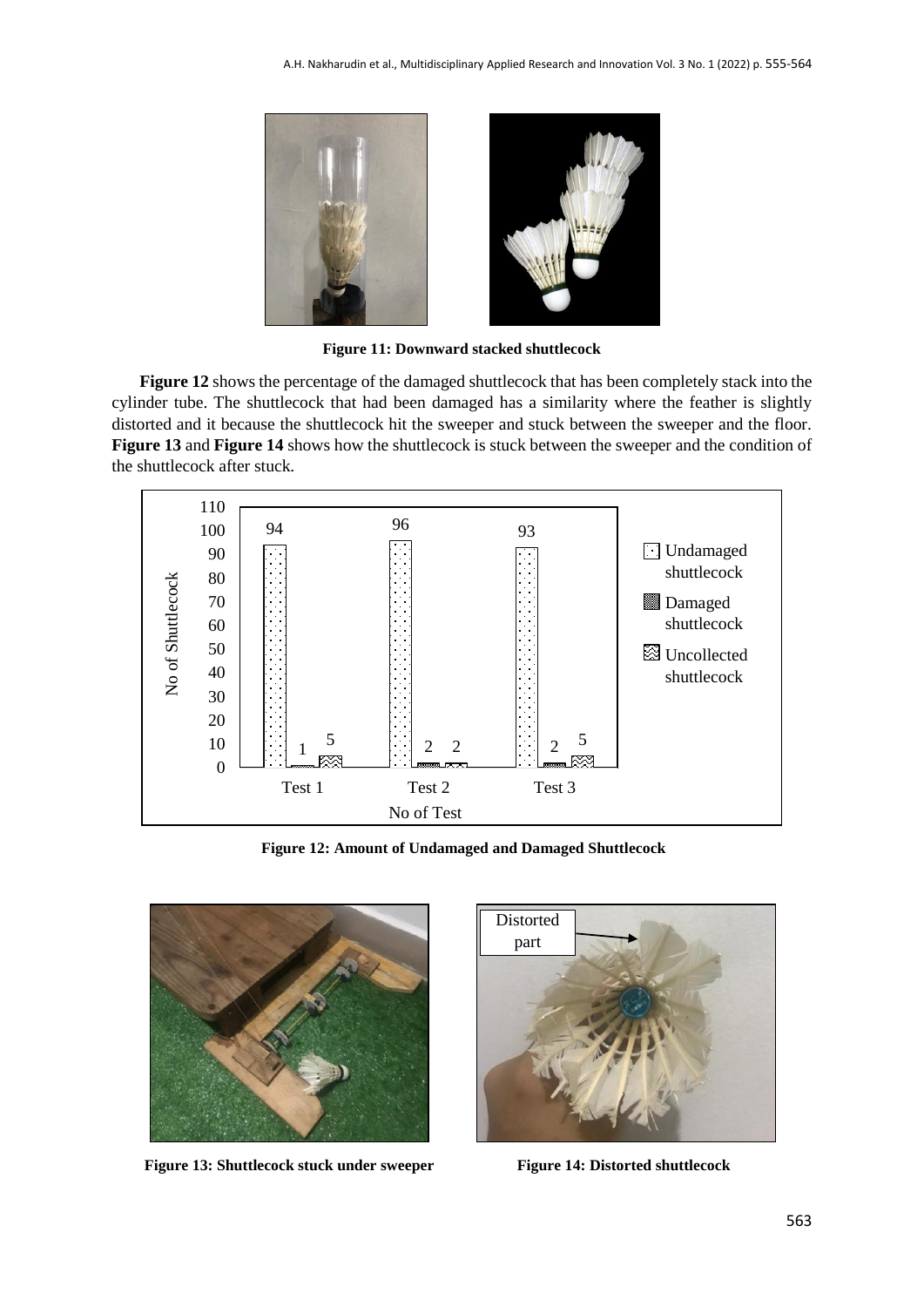

**Figure 11: Downward stacked shuttlecock**

**Figure 12** shows the percentage of the damaged shuttlecock that has been completely stack into the cylinder tube. The shuttlecock that had been damaged has a similarity where the feather is slightly distorted and it because the shuttlecock hit the sweeper and stuck between the sweeper and the floor. **Figure 13** and **Figure 14** shows how the shuttlecock is stuck between the sweeper and the condition of the shuttlecock after stuck.



**Figure 12: Amount of Undamaged and Damaged Shuttlecock**



**Figure 13: Shuttlecock stuck under sweeper** Figure 14: Distorted shuttlecock